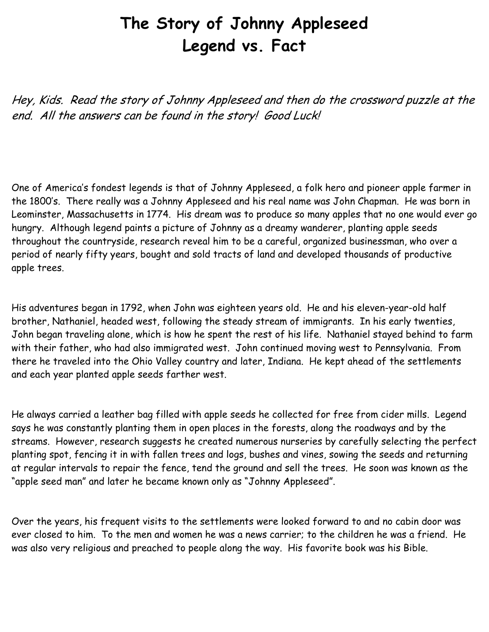## **The Story of Johnny Appleseed Legend vs. Fact**

Hey, Kids. Read the story of Johnny Appleseed and then do the crossword puzzle at the end. All the answers can be found in the story! Good Luck!

One of America's fondest legends is that of Johnny Appleseed, a folk hero and pioneer apple farmer in the 1800's. There really was a Johnny Appleseed and his real name was John Chapman. He was born in Leominster, Massachusetts in 1774. His dream was to produce so many apples that no one would ever go hungry. Although legend paints a picture of Johnny as a dreamy wanderer, planting apple seeds throughout the countryside, research reveal him to be a careful, organized businessman, who over a period of nearly fifty years, bought and sold tracts of land and developed thousands of productive apple trees.

His adventures began in 1792, when John was eighteen years old. He and his eleven-year-old half brother, Nathaniel, headed west, following the steady stream of immigrants. In his early twenties, John began traveling alone, which is how he spent the rest of his life. Nathaniel stayed behind to farm with their father, who had also immigrated west. John continued moving west to Pennsylvania. From there he traveled into the Ohio Valley country and later, Indiana. He kept ahead of the settlements and each year planted apple seeds farther west.

He always carried a leather bag filled with apple seeds he collected for free from cider mills. Legend says he was constantly planting them in open places in the forests, along the roadways and by the streams. However, research suggests he created numerous nurseries by carefully selecting the perfect planting spot, fencing it in with fallen trees and logs, bushes and vines, sowing the seeds and returning at regular intervals to repair the fence, tend the ground and sell the trees. He soon was known as the "apple seed man" and later he became known only as "Johnny Appleseed".

Over the years, his frequent visits to the settlements were looked forward to and no cabin door was ever closed to him. To the men and women he was a news carrier; to the children he was a friend. He was also very religious and preached to people along the way. His favorite book was his Bible.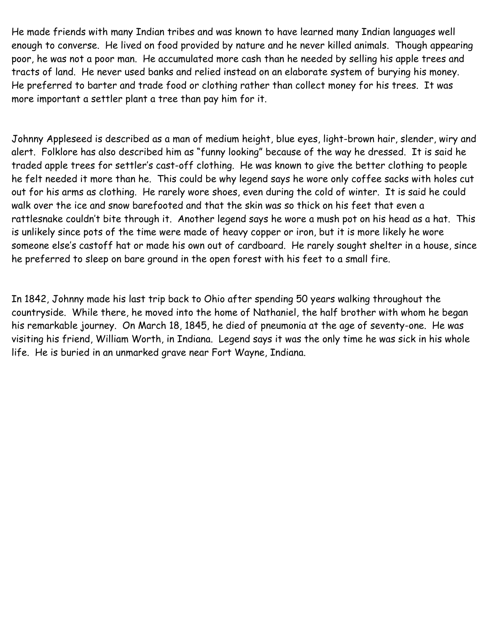He made friends with many Indian tribes and was known to have learned many Indian languages well enough to converse. He lived on food provided by nature and he never killed animals. Though appearing poor, he was not a poor man. He accumulated more cash than he needed by selling his apple trees and tracts of land. He never used banks and relied instead on an elaborate system of burying his money. He preferred to barter and trade food or clothing rather than collect money for his trees. It was more important a settler plant a tree than pay him for it.

Johnny Appleseed is described as a man of medium height, blue eyes, light-brown hair, slender, wiry and alert. Folklore has also described him as "funny looking" because of the way he dressed. It is said he traded apple trees for settler's cast-off clothing. He was known to give the better clothing to people he felt needed it more than he. This could be why legend says he wore only coffee sacks with holes cut out for his arms as clothing. He rarely wore shoes, even during the cold of winter. It is said he could walk over the ice and snow barefooted and that the skin was so thick on his feet that even a rattlesnake couldn't bite through it. Another legend says he wore a mush pot on his head as a hat. This is unlikely since pots of the time were made of heavy copper or iron, but it is more likely he wore someone else's castoff hat or made his own out of cardboard. He rarely sought shelter in a house, since he preferred to sleep on bare ground in the open forest with his feet to a small fire.

In 1842, Johnny made his last trip back to Ohio after spending 50 years walking throughout the countryside. While there, he moved into the home of Nathaniel, the half brother with whom he began his remarkable journey. On March 18, 1845, he died of pneumonia at the age of seventy-one. He was visiting his friend, William Worth, in Indiana. Legend says it was the only time he was sick in his whole life. He is buried in an unmarked grave near Fort Wayne, Indiana.